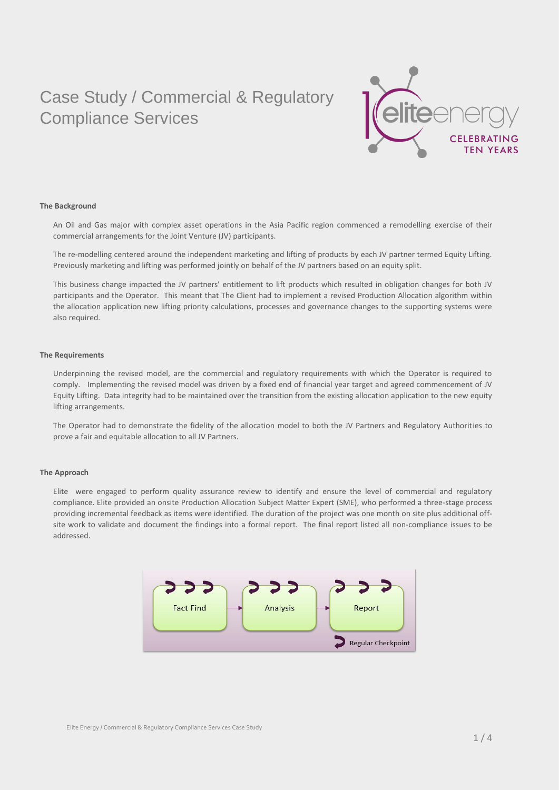

### **The Background**

An Oil and Gas major with complex asset operations in the Asia Pacific region commenced a remodelling exercise of their commercial arrangements for the Joint Venture (JV) participants.

The re-modelling centered around the independent marketing and lifting of products by each JV partner termed Equity Lifting. Previously marketing and lifting was performed jointly on behalf of the JV partners based on an equity split.

This business change impacted the JV partners' entitlement to lift products which resulted in obligation changes for both JV participants and the Operator. This meant that The Client had to implement a revised Production Allocation algorithm within the allocation application new lifting priority calculations, processes and governance changes to the supporting systems were also required.

### **The Requirements**

Underpinning the revised model, are the commercial and regulatory requirements with which the Operator is required to comply. Implementing the revised model was driven by a fixed end of financial year target and agreed commencement of JV Equity Lifting. Data integrity had to be maintained over the transition from the existing allocation application to the new equity lifting arrangements.

The Operator had to demonstrate the fidelity of the allocation model to both the JV Partners and Regulatory Authorities to prove a fair and equitable allocation to all JV Partners.

#### **The Approach**

Elite were engaged to perform quality assurance review to identify and ensure the level of commercial and regulatory compliance. Elite provided an onsite Production Allocation Subject Matter Expert (SME), who performed a three-stage process providing incremental feedback as items were identified. The duration of the project was one month on site plus additional offsite work to validate and document the findings into a formal report. The final report listed all non-compliance issues to be addressed.

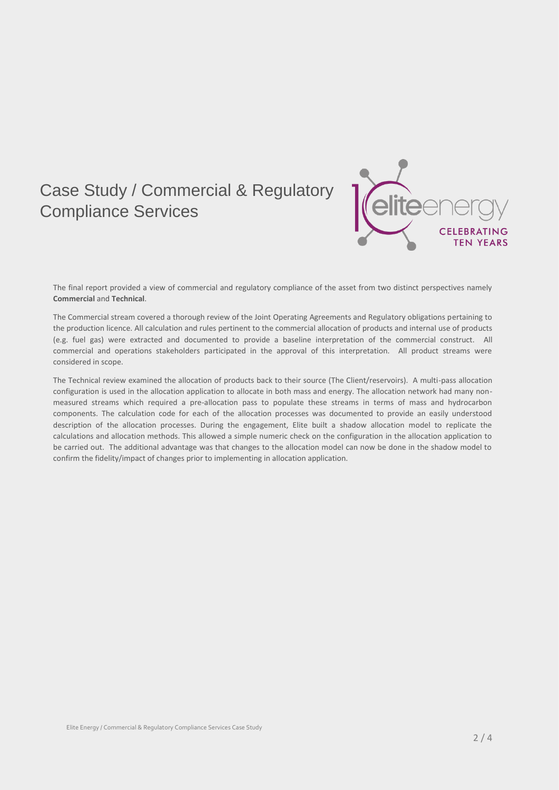

The final report provided a view of commercial and regulatory compliance of the asset from two distinct perspectives namely **Commercial** and **Technical**.

The Commercial stream covered a thorough review of the Joint Operating Agreements and Regulatory obligations pertaining to the production licence. All calculation and rules pertinent to the commercial allocation of products and internal use of products (e.g. fuel gas) were extracted and documented to provide a baseline interpretation of the commercial construct. All commercial and operations stakeholders participated in the approval of this interpretation. All product streams were considered in scope.

The Technical review examined the allocation of products back to their source (The Client/reservoirs). A multi-pass allocation configuration is used in the allocation application to allocate in both mass and energy. The allocation network had many nonmeasured streams which required a pre-allocation pass to populate these streams in terms of mass and hydrocarbon components. The calculation code for each of the allocation processes was documented to provide an easily understood description of the allocation processes. During the engagement, Elite built a shadow allocation model to replicate the calculations and allocation methods. This allowed a simple numeric check on the configuration in the allocation application to be carried out. The additional advantage was that changes to the allocation model can now be done in the shadow model to confirm the fidelity/impact of changes prior to implementing in allocation application.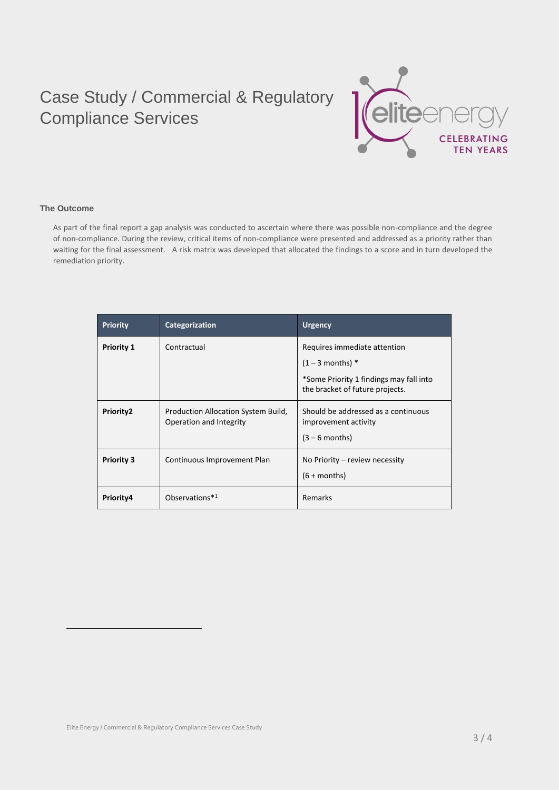

### **The Outcome**

 $\overline{a}$ 

As part of the final report a gap analysis was conducted to ascertain where there was possible non-compliance and the degree of non-compliance. During the review, critical items of non-compliance were presented and addressed as a priority rather than waiting for the final assessment. A risk matrix was developed that allocated the findings to a score and in turn developed the remediation priority.

| <b>Priority</b>   | Categorization                                                 | <b>Urgency</b>                                                                  |
|-------------------|----------------------------------------------------------------|---------------------------------------------------------------------------------|
| <b>Priority 1</b> | Contractual                                                    | Requires immediate attention                                                    |
|                   |                                                                | $(1 - 3$ months) *                                                              |
|                   |                                                                | *Some Priority 1 findings may fall into<br>the bracket of future projects.      |
| Priority2         | Production Allocation System Build,<br>Operation and Integrity | Should be addressed as a continuous<br>improvement activity<br>$(3 - 6$ months) |
| <b>Priority 3</b> | Continuous Improvement Plan                                    | No Priority $-$ review necessity<br>$(6 + months)$                              |
| Priority4         | Observations*1                                                 | Remarks                                                                         |